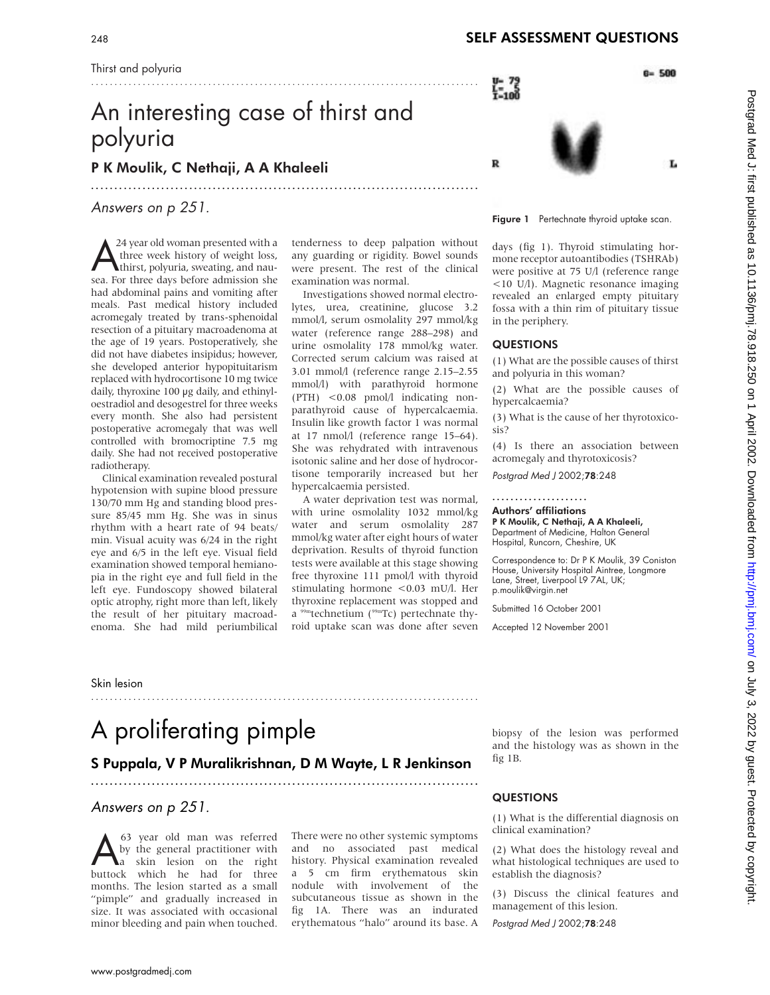# An interesting case of thirst and polyuria

...................................................................................

P K Moulik, C Nethaji, A A Khaleeli

Answers on p 251.

 $\sum_{\text{th}}^{24}$  year old woman presented with a three week history of weight loss, thirst, polyuria, sweating, and nauthree week history of weight loss, sea. For three days before admission she had abdominal pains and vomiting after meals. Past medical history included acromegaly treated by trans-sphenoidal resection of a pituitary macroadenoma at the age of 19 years. Postoperatively, she did not have diabetes insipidus; however, she developed anterior hypopituitarism replaced with hydrocortisone 10 mg twice daily, thyroxine 100 µg daily, and ethinyloestradiol and desogestrel for three weeks every month. She also had persistent postoperative acromegaly that was well controlled with bromocriptine 7.5 mg daily. She had not received postoperative radiotherapy.

Clinical examination revealed postural hypotension with supine blood pressure 130/70 mm Hg and standing blood pressure 85/45 mm Hg. She was in sinus rhythm with a heart rate of 94 beats/ min. Visual acuity was 6/24 in the right eye and 6/5 in the left eye. Visual field examination showed temporal hemianopia in the right eye and full field in the left eye. Fundoscopy showed bilateral optic atrophy, right more than left, likely the result of her pituitary macroadenoma. She had mild periumbilical tenderness to deep palpation without any guarding or rigidity. Bowel sounds were present. The rest of the clinical examination was normal.

Investigations showed normal electrolytes, urea, creatinine, glucose 3.2 mmol/l, serum osmolality 297 mmol/kg water (reference range 288–298) and urine osmolality 178 mmol/kg water. Corrected serum calcium was raised at 3.01 mmol/l (reference range 2.15–2.55 mmol/l) with parathyroid hormone (PTH) <0.08 pmol/l indicating nonparathyroid cause of hypercalcaemia. Insulin like growth factor 1 was normal at 17 nmol/l (reference range 15–64). She was rehydrated with intravenous isotonic saline and her dose of hydrocortisone temporarily increased but her hypercalcaemia persisted.

A water deprivation test was normal, with urine osmolality 1032 mmol/kg water and serum osmolality 287 mmol/kg water after eight hours of water deprivation. Results of thyroid function tests were available at this stage showing free thyroxine 111 pmol/l with thyroid stimulating hormone <0.03 mU/l. Her thyroxine replacement was stopped and a  $99m$ technetium ( $99m$ Tc) pertechnate thyroid uptake scan was done after seven

...................................................................................

days (fig 1). Thyroid stimulating hormone receptor autoantibodies (TSHRAb) were positive at 75 U/l (reference range <10 U/l). Magnetic resonance imaging revealed an enlarged empty pituitary fossa with a thin rim of pituitary tissue in the periphery.

Figure 1 Pertechnate thyroid uptake scan.

 $\frac{1}{1-100}$ 

R

(1) What are the possible causes of thirst and polyuria in this woman?

(2) What are the possible causes of hypercalcaemia?

(3) What is the cause of her thyrotoxicosis?

(4) Is there an association between acromegaly and thyrotoxicosis?

Postgrad Med <sup>J</sup> 2002;78:248

....................<br>Authors' affiliations

P K Moulik, C Nethaji, A A Khaleeli, Department of Medicine, Halton General Hospital, Runcorn, Cheshire, UK

Correspondence to: Dr P K Moulik, 39 Coniston House, University Hospital Aintree, Longmore Lane, Street, Liverpool L9 7AL, UK; p.moulik@virgin.net

Submitted 16 October 2001

Accepted 12 November 2001

Skin lesion

# A proliferating pimple

## $S \rightarrow \text{S}$  punction  $\text{S}$  and  $\text{S}$  and  $\text{S}$  and  $\text{S}$  and  $\text{S}$  are communications of  $\text{S}$

### Answers on p 251.

A<sub>63</sub> year old man was referred<br>by the general practitioner with<br>huttock which he had for three by the general practitioner with buttock which he had for three months. The lesion started as a small "pimple" and gradually increased in size. It was associated with occasional minor bleeding and pain when touched. There were no other systemic symptoms and no associated past medical history. Physical examination revealed a 5 cm firm erythematous skin nodule with involvement of the subcutaneous tissue as shown in the fig 1A. There was an indurated erythematous "halo" around its base. A biopsy of the lesion was performed and the histology was as shown in the fig 1B.

#### QUESTIONS

(1) What is the differential diagnosis on clinical examination?

(2) What does the histology reveal and what histological techniques are used to establish the diagnosis?

(3) Discuss the clinical features and management of this lesion.

Postgrad Med <sup>J</sup> 2002;78:248

### <sup>248</sup> SELF ASSESSMENT QUESTIONS

 $B = 500$ 

T.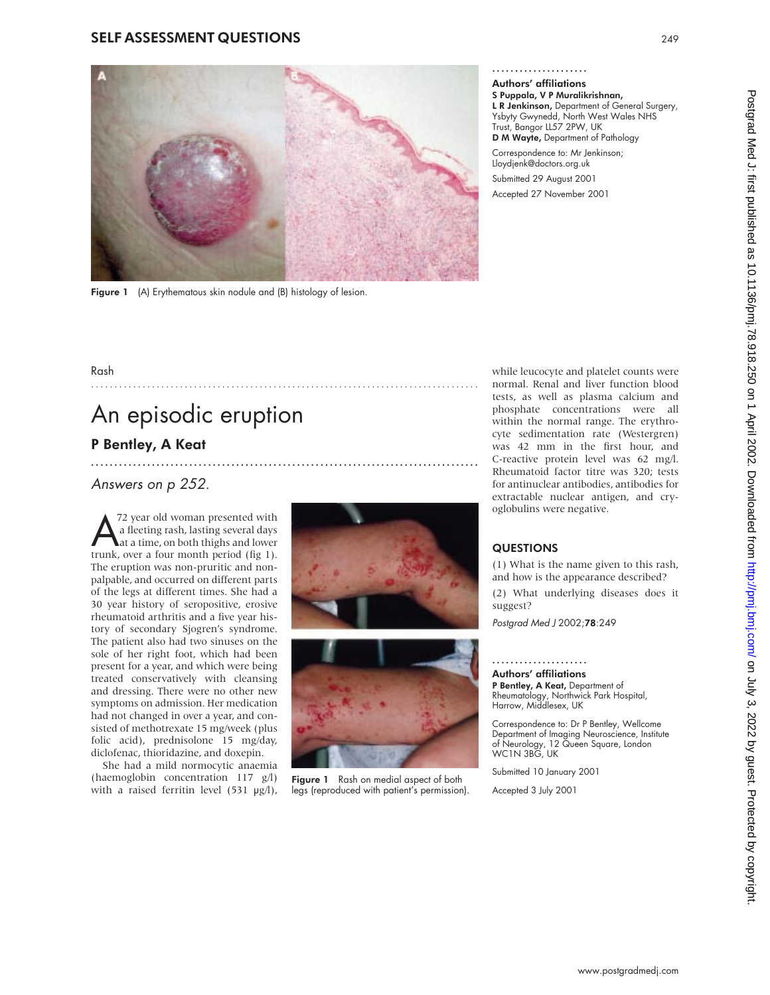#### SELF ASSESSMENT QUESTIONS <sup>249</sup>



...................................................................................

Figure 1 (A) Erythematous skin nodule and (B) histology of lesion.

Authors' affiliations S Puppala, V P Muralikrishnan, L R Jenkinson, Department of General Surgery,<br>Yshyty Gwynedd, North West Wales NHS Ysbyty Gwynedd, North West Wales NHS Trust, Bangor LL57 2PW, UK D M Wayte, Department of Pathology

Correspondence to: Mr Jenkinson; Lloydjenk@doctors.org.uk Submitted 29 August 2001 Accepted 27 November 2001

### Rash

# An episodic eruption

# P Bentley, A Keat

### Answers on p 252.

172 year old woman presented with<br>
a fleeting rash, lasting several days<br>
at a time, on both thighs and lower<br>
trunk, over a four month period (fig. 1) a fleeting rash, lasting several days trunk, over a four month period (fig 1). The eruption was non-pruritic and nonpalpable, and occurred on different parts of the legs at different times. She had a 30 year history of seropositive, erosive rheumatoid arthritis and a five year history of secondary Sjogren's syndrome. The patient also had two sinuses on the sole of her right foot, which had been present for a year, and which were being treated conservatively with cleansing and dressing. There were no other new symptoms on admission. Her medication had not changed in over a year, and consisted of methotrexate 15 mg/week (plus folic acid), prednisolone 15 mg/day, diclofenac, thioridazine, and doxepin.

She had a mild normocytic anaemia (haemoglobin concentration 117 g/l) with a raised ferritin level  $(531 \text{ µg/l})$ ,





Figure 1 Rash on medial aspect of both legs (reproduced with patient's permission).

while leucocyte and platelet counts were normal. Renal and liver function blood tests, as well as plasma calcium and phosphate concentrations were all within the normal range. The erythrocyte sedimentation rate (Westergren) was 42 mm in the first hour, and C-reactive protein level was 62 mg/l. Rheumatoid factor titre was 320; tests for antinuclear antibodies, antibodies for extractable nuclear antigen, and cryoglobulins were negative.

#### **QUESTIONS**

 $(1)$  What is the name given to this rash, and how is the appearance described?

(2) What underlying diseases does it suggest?

Postgrad Med <sup>J</sup> 2002;78:249

#### Authors' affiliations

P Bentley, A Keat, Department of **P Bentley, A Keat,** Department of<br>Rheumatology, Northwick Park Hospital,<br>Harrow, Middlesex, UK

Correspondence to: Dr P Bentley, Wellcome Department of Imaging Neuroscience, Institute of Neurology, 12 Queen Square, London WC1N 3BG, UK

Submitted 10 January 2001

Accepted 3 July 2001